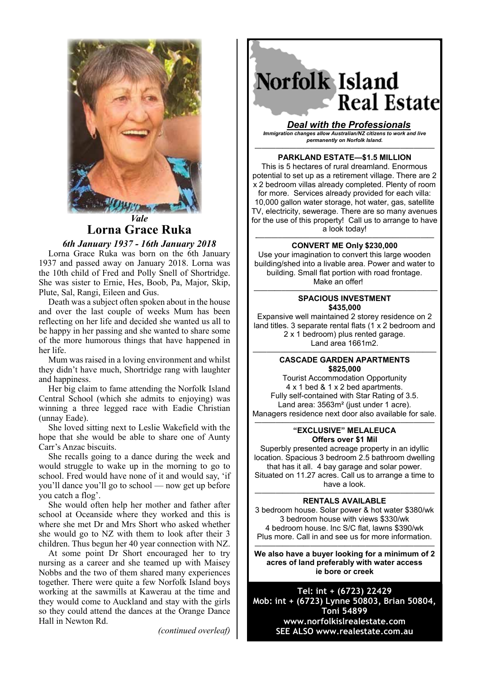

*Vale* **Lorna Grace Ruka** 

### *6th January 1937 - 16th January 2018*

Lorna Grace Ruka was born on the 6th January 1937 and passed away on January 2018. Lorna was the 10th child of Fred and Polly Snell of Shortridge. She was sister to Ernie, Hes, Boob, Pa, Major, Skip, Plute, Sal, Rangi, Eileen and Gus.

Death was a subject often spoken about in the house and over the last couple of weeks Mum has been reflecting on her life and decided she wanted us all to be happy in her passing and she wanted to share some of the more humorous things that have happened in her life.

Mum was raised in a loving environment and whilst they didn't have much, Shortridge rang with laughter and happiness.

Her big claim to fame attending the Norfolk Island Central School (which she admits to enjoying) was winning a three legged race with Eadie Christian (unnay Eade).

She loved sitting next to Leslie Wakefield with the hope that she would be able to share one of Aunty Carr's Anzac biscuits.

She recalls going to a dance during the week and would struggle to wake up in the morning to go to school. Fred would have none of it and would say, 'if you'll dance you'll go to school — now get up before you catch a flog'.

She would often help her mother and father after school at Oceanside where they worked and this is where she met Dr and Mrs Short who asked whether she would go to NZ with them to look after their 3 children. Thus begun her 40 year connection with NZ.

At some point Dr Short encouraged her to try nursing as a career and she teamed up with Maisey Nobbs and the two of them shared many experiences together. There were quite a few Norfolk Island boys working at the sawmills at Kawerau at the time and they would come to Auckland and stay with the girls so they could attend the dances at the Orange Dance Hall in Newton Rd.

*(continued overleaf)*

# Norfolk Island **Real Estate**

*Deal with the Professionals Immigration changes allow Australian/NZ citizens to work and live permanently on Norfolk Island.*

—————————————————————————— **PARKLAND ESTATE—\$1.5 MILLION**

This is 5 hectares of rural dreamland. Enormous potential to set up as a retirement village. There are 2 x 2 bedroom villas already completed. Plenty of room for more. Services already provided for each villa: 10,000 gallon water storage, hot water, gas, satellite TV, electricity, sewerage. There are so many avenues for the use of this property! Call us to arrange to have a look today!

#### *-———–——————————————————————* **CONVERT ME Only \$230,000**

Use your imagination to convert this large wooden building/shed into a livable area. Power and water to building. Small flat portion with road frontage. Make an offer!

#### *————–——————————————————————* **SPACIOUS INVESTMENT \$435,000**

Expansive well maintained 2 storey residence on 2 land titles. 3 separate rental flats (1 x 2 bedroom and 2 x 1 bedroom) plus rented garage. Land area 1661m2.

#### *————–——————————————————————* **CASCADE GARDEN APARTMENTS \$825,000**

Tourist Accommodation Opportunity 4 x 1 bed & 1 x 2 bed apartments. Fully self-contained with Star Rating of 3.5. Land area: 3563m<sup>2</sup> (just under 1 acre). Managers residence next door also available for sale.

#### —————————————————————————— **"EXCLUSIVE" MELALEUCA Offers over \$1 Mil**

Superbly presented acreage property in an idyllic location. Spacious 3 bedroom 2.5 bathroom dwelling that has it all. 4 bay garage and solar power. Situated on 11.27 acres. Call us to arrange a time to have a look.

#### —————————————————————————— **RENTALS AVAILABLE**

3 bedroom house. Solar power & hot water \$380/wk 3 bedroom house with views \$330/wk 4 bedroom house. Inc S/C flat, lawns \$390/wk Plus more. Call in and see us for more information.

—————————————————————————— **We also have a buyer looking for a minimum of 2 acres of land preferably with water access ie bore or creek**

**Tel: int + (6723) 22429 Mob: int + (6723) Lynne 50803, Brian 50804, Toni 54899 www.norfolkislrealestate.com SEE ALSO www.realestate.com.au**